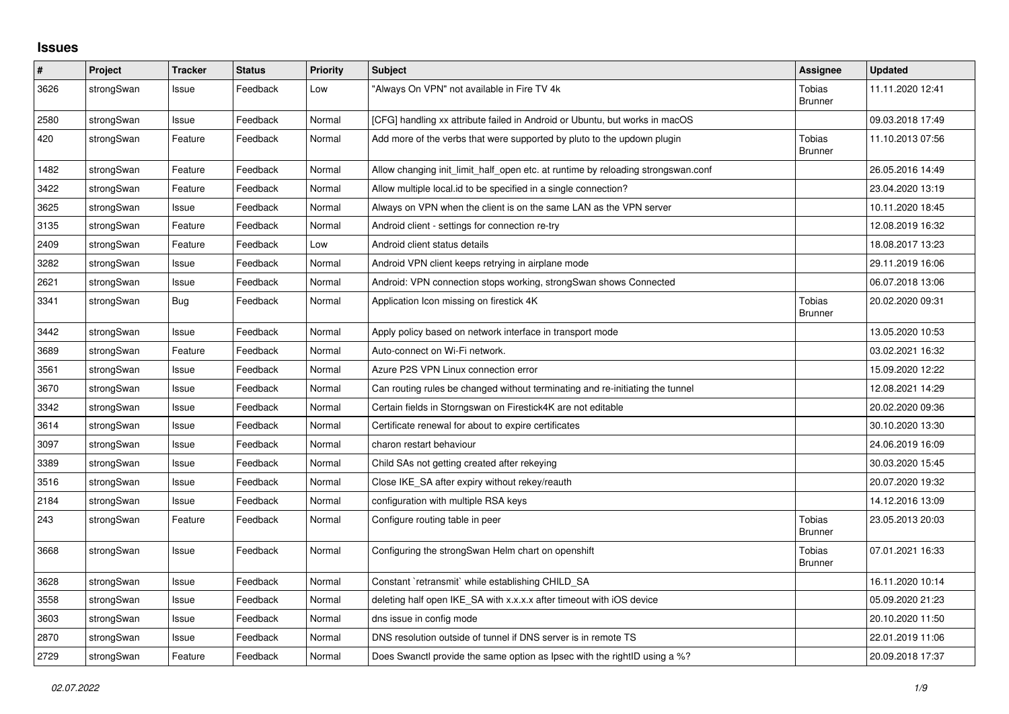## **Issues**

| $\sharp$ | Project    | <b>Tracker</b> | <b>Status</b> | <b>Priority</b> | <b>Subject</b>                                                                   | Assignee                        | <b>Updated</b>   |
|----------|------------|----------------|---------------|-----------------|----------------------------------------------------------------------------------|---------------------------------|------------------|
| 3626     | strongSwan | Issue          | Feedback      | Low             | 'Always On VPN" not available in Fire TV 4k                                      | <b>Tobias</b><br><b>Brunner</b> | 11.11.2020 12:41 |
| 2580     | strongSwan | Issue          | Feedback      | Normal          | [CFG] handling xx attribute failed in Android or Ubuntu, but works in macOS      |                                 | 09.03.2018 17:49 |
| 420      | strongSwan | Feature        | Feedback      | Normal          | Add more of the verbs that were supported by pluto to the updown plugin          | Tobias<br><b>Brunner</b>        | 11.10.2013 07:56 |
| 1482     | strongSwan | Feature        | Feedback      | Normal          | Allow changing init_limit_half_open etc. at runtime by reloading strongswan.conf |                                 | 26.05.2016 14:49 |
| 3422     | strongSwan | Feature        | Feedback      | Normal          | Allow multiple local id to be specified in a single connection?                  |                                 | 23.04.2020 13:19 |
| 3625     | strongSwan | Issue          | Feedback      | Normal          | Always on VPN when the client is on the same LAN as the VPN server               |                                 | 10.11.2020 18:45 |
| 3135     | strongSwan | Feature        | Feedback      | Normal          | Android client - settings for connection re-try                                  |                                 | 12.08.2019 16:32 |
| 2409     | strongSwan | Feature        | Feedback      | Low             | Android client status details                                                    |                                 | 18.08.2017 13:23 |
| 3282     | strongSwan | Issue          | Feedback      | Normal          | Android VPN client keeps retrying in airplane mode                               |                                 | 29.11.2019 16:06 |
| 2621     | strongSwan | Issue          | Feedback      | Normal          | Android: VPN connection stops working, strongSwan shows Connected                |                                 | 06.07.2018 13:06 |
| 3341     | strongSwan | Bug            | Feedback      | Normal          | Application Icon missing on firestick 4K                                         | <b>Tobias</b><br><b>Brunner</b> | 20.02.2020 09:31 |
| 3442     | strongSwan | Issue          | Feedback      | Normal          | Apply policy based on network interface in transport mode                        |                                 | 13.05.2020 10:53 |
| 3689     | strongSwan | Feature        | Feedback      | Normal          | Auto-connect on Wi-Fi network.                                                   |                                 | 03.02.2021 16:32 |
| 3561     | strongSwan | Issue          | Feedback      | Normal          | Azure P2S VPN Linux connection error                                             |                                 | 15.09.2020 12:22 |
| 3670     | strongSwan | Issue          | Feedback      | Normal          | Can routing rules be changed without terminating and re-initiating the tunnel    |                                 | 12.08.2021 14:29 |
| 3342     | strongSwan | Issue          | Feedback      | Normal          | Certain fields in Storngswan on Firestick4K are not editable                     |                                 | 20.02.2020 09:36 |
| 3614     | strongSwan | Issue          | Feedback      | Normal          | Certificate renewal for about to expire certificates                             |                                 | 30.10.2020 13:30 |
| 3097     | strongSwan | Issue          | Feedback      | Normal          | charon restart behaviour                                                         |                                 | 24.06.2019 16:09 |
| 3389     | strongSwan | Issue          | Feedback      | Normal          | Child SAs not getting created after rekeying                                     |                                 | 30.03.2020 15:45 |
| 3516     | strongSwan | Issue          | Feedback      | Normal          | Close IKE_SA after expiry without rekey/reauth                                   |                                 | 20.07.2020 19:32 |
| 2184     | strongSwan | Issue          | Feedback      | Normal          | configuration with multiple RSA keys                                             |                                 | 14.12.2016 13:09 |
| 243      | strongSwan | Feature        | Feedback      | Normal          | Configure routing table in peer                                                  | <b>Tobias</b><br><b>Brunner</b> | 23.05.2013 20:03 |
| 3668     | strongSwan | Issue          | Feedback      | Normal          | Configuring the strongSwan Helm chart on openshift                               | Tobias<br><b>Brunner</b>        | 07.01.2021 16:33 |
| 3628     | strongSwan | Issue          | Feedback      | Normal          | Constant `retransmit` while establishing CHILD SA                                |                                 | 16.11.2020 10:14 |
| 3558     | strongSwan | Issue          | Feedback      | Normal          | deleting half open IKE_SA with x.x.x.x after timeout with iOS device             |                                 | 05.09.2020 21:23 |
| 3603     | strongSwan | Issue          | Feedback      | Normal          | dns issue in config mode                                                         |                                 | 20.10.2020 11:50 |
| 2870     | strongSwan | Issue          | Feedback      | Normal          | DNS resolution outside of tunnel if DNS server is in remote TS                   |                                 | 22.01.2019 11:06 |
| 2729     | strongSwan | Feature        | Feedback      | Normal          | Does Swanctl provide the same option as Ipsec with the rightID using a %?        |                                 | 20.09.2018 17:37 |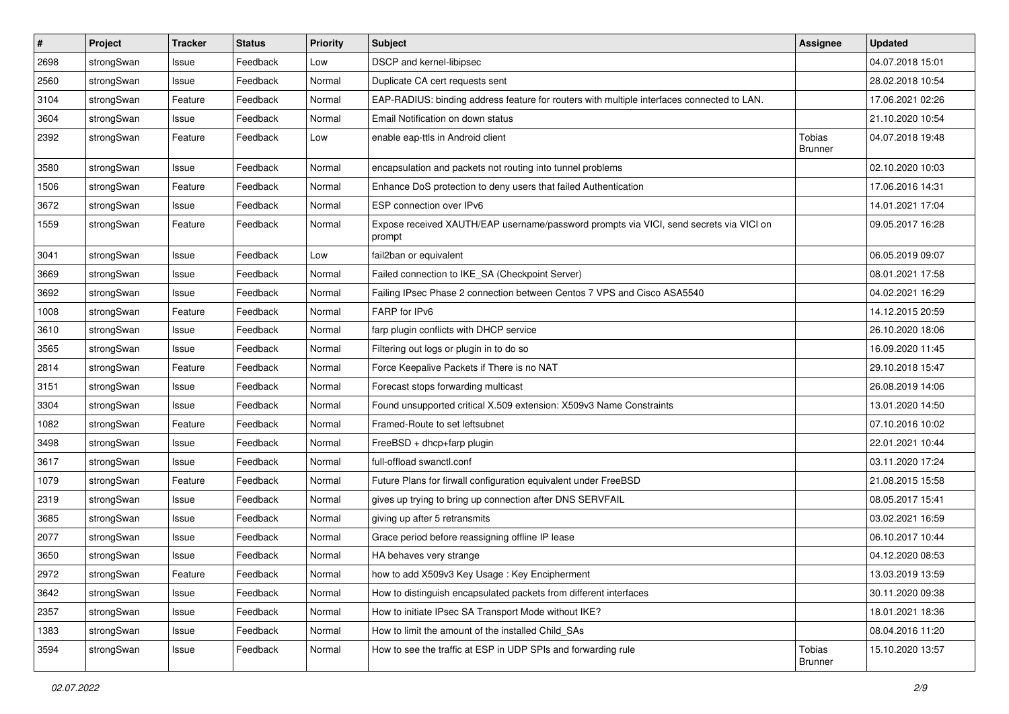| #    | Project    | <b>Tracker</b> | <b>Status</b> | <b>Priority</b> | <b>Subject</b>                                                                                   | <b>Assignee</b>          | <b>Updated</b>   |
|------|------------|----------------|---------------|-----------------|--------------------------------------------------------------------------------------------------|--------------------------|------------------|
| 2698 | strongSwan | Issue          | Feedback      | Low             | DSCP and kernel-libipsec                                                                         |                          | 04.07.2018 15:01 |
| 2560 | strongSwan | Issue          | Feedback      | Normal          | Duplicate CA cert requests sent                                                                  |                          | 28.02.2018 10:54 |
| 3104 | strongSwan | Feature        | Feedback      | Normal          | EAP-RADIUS: binding address feature for routers with multiple interfaces connected to LAN.       |                          | 17.06.2021 02:26 |
| 3604 | strongSwan | Issue          | Feedback      | Normal          | Email Notification on down status                                                                |                          | 21.10.2020 10:54 |
| 2392 | strongSwan | Feature        | Feedback      | Low             | enable eap-ttls in Android client                                                                | Tobias<br><b>Brunner</b> | 04.07.2018 19:48 |
| 3580 | strongSwan | Issue          | Feedback      | Normal          | encapsulation and packets not routing into tunnel problems                                       |                          | 02.10.2020 10:03 |
| 1506 | strongSwan | Feature        | Feedback      | Normal          | Enhance DoS protection to deny users that failed Authentication                                  |                          | 17.06.2016 14:31 |
| 3672 | strongSwan | Issue          | Feedback      | Normal          | ESP connection over IPv6                                                                         |                          | 14.01.2021 17:04 |
| 1559 | strongSwan | Feature        | Feedback      | Normal          | Expose received XAUTH/EAP username/password prompts via VICI, send secrets via VICI on<br>prompt |                          | 09.05.2017 16:28 |
| 3041 | strongSwan | Issue          | Feedback      | Low             | fail2ban or equivalent                                                                           |                          | 06.05.2019 09:07 |
| 3669 | strongSwan | Issue          | Feedback      | Normal          | Failed connection to IKE_SA (Checkpoint Server)                                                  |                          | 08.01.2021 17:58 |
| 3692 | strongSwan | Issue          | Feedback      | Normal          | Failing IPsec Phase 2 connection between Centos 7 VPS and Cisco ASA5540                          |                          | 04.02.2021 16:29 |
| 1008 | strongSwan | Feature        | Feedback      | Normal          | FARP for IPv6                                                                                    |                          | 14.12.2015 20:59 |
| 3610 | strongSwan | Issue          | Feedback      | Normal          | farp plugin conflicts with DHCP service                                                          |                          | 26.10.2020 18:06 |
| 3565 | strongSwan | Issue          | Feedback      | Normal          | Filtering out logs or plugin in to do so                                                         |                          | 16.09.2020 11:45 |
| 2814 | strongSwan | Feature        | Feedback      | Normal          | Force Keepalive Packets if There is no NAT                                                       |                          | 29.10.2018 15:47 |
| 3151 | strongSwan | Issue          | Feedback      | Normal          | Forecast stops forwarding multicast                                                              |                          | 26.08.2019 14:06 |
| 3304 | strongSwan | Issue          | Feedback      | Normal          | Found unsupported critical X.509 extension: X509v3 Name Constraints                              |                          | 13.01.2020 14:50 |
| 1082 | strongSwan | Feature        | Feedback      | Normal          | Framed-Route to set leftsubnet                                                                   |                          | 07.10.2016 10:02 |
| 3498 | strongSwan | Issue          | Feedback      | Normal          | FreeBSD + dhcp+farp plugin                                                                       |                          | 22.01.2021 10:44 |
| 3617 | strongSwan | Issue          | Feedback      | Normal          | full-offload swanctl.conf                                                                        |                          | 03.11.2020 17:24 |
| 1079 | strongSwan | Feature        | Feedback      | Normal          | Future Plans for firwall configuration equivalent under FreeBSD                                  |                          | 21.08.2015 15:58 |
| 2319 | strongSwan | Issue          | Feedback      | Normal          | gives up trying to bring up connection after DNS SERVFAIL                                        |                          | 08.05.2017 15:41 |
| 3685 | strongSwan | Issue          | Feedback      | Normal          | giving up after 5 retransmits                                                                    |                          | 03.02.2021 16:59 |
| 2077 | strongSwan | Issue          | Feedback      | Normal          | Grace period before reassigning offline IP lease                                                 |                          | 06.10.2017 10:44 |
| 3650 | strongSwan | Issue          | Feedback      | Normal          | HA behaves very strange                                                                          |                          | 04.12.2020 08:53 |
| 2972 | strongSwan | Feature        | Feedback      | Normal          | how to add X509v3 Key Usage: Key Encipherment                                                    |                          | 13.03.2019 13:59 |
| 3642 | strongSwan | Issue          | Feedback      | Normal          | How to distinguish encapsulated packets from different interfaces                                |                          | 30.11.2020 09:38 |
| 2357 | strongSwan | Issue          | Feedback      | Normal          | How to initiate IPsec SA Transport Mode without IKE?                                             |                          | 18.01.2021 18:36 |
| 1383 | strongSwan | Issue          | Feedback      | Normal          | How to limit the amount of the installed Child_SAs                                               |                          | 08.04.2016 11:20 |
| 3594 | strongSwan | Issue          | Feedback      | Normal          | How to see the traffic at ESP in UDP SPIs and forwarding rule                                    | <b>Tobias</b><br>Brunner | 15.10.2020 13:57 |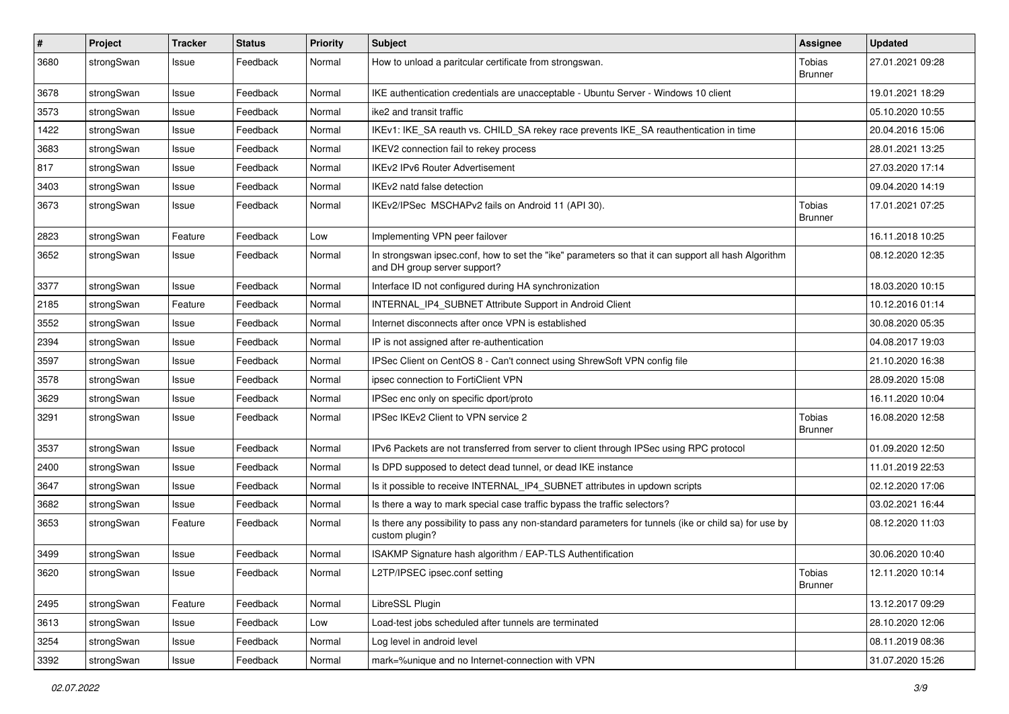| $\sharp$ | Project    | <b>Tracker</b> | <b>Status</b> | <b>Priority</b> | <b>Subject</b>                                                                                                                      | <b>Assignee</b>          | <b>Updated</b>   |
|----------|------------|----------------|---------------|-----------------|-------------------------------------------------------------------------------------------------------------------------------------|--------------------------|------------------|
| 3680     | strongSwan | Issue          | Feedback      | Normal          | How to unload a paritcular certificate from strongswan.                                                                             | Tobias<br><b>Brunner</b> | 27.01.2021 09:28 |
| 3678     | strongSwan | Issue          | Feedback      | Normal          | IKE authentication credentials are unacceptable - Ubuntu Server - Windows 10 client                                                 |                          | 19.01.2021 18:29 |
| 3573     | strongSwan | Issue          | Feedback      | Normal          | ike2 and transit traffic                                                                                                            |                          | 05.10.2020 10:55 |
| 1422     | strongSwan | Issue          | Feedback      | Normal          | IKEv1: IKE_SA reauth vs. CHILD_SA rekey race prevents IKE_SA reauthentication in time                                               |                          | 20.04.2016 15:06 |
| 3683     | strongSwan | Issue          | Feedback      | Normal          | IKEV2 connection fail to rekey process                                                                                              |                          | 28.01.2021 13:25 |
| 817      | strongSwan | Issue          | Feedback      | Normal          | <b>IKEv2 IPv6 Router Advertisement</b>                                                                                              |                          | 27.03.2020 17:14 |
| 3403     | strongSwan | Issue          | Feedback      | Normal          | IKEv2 natd false detection                                                                                                          |                          | 09.04.2020 14:19 |
| 3673     | strongSwan | Issue          | Feedback      | Normal          | IKEv2/IPSec MSCHAPv2 fails on Android 11 (API 30).                                                                                  | Tobias<br><b>Brunner</b> | 17.01.2021 07:25 |
| 2823     | strongSwan | Feature        | Feedback      | Low             | Implementing VPN peer failover                                                                                                      |                          | 16.11.2018 10:25 |
| 3652     | strongSwan | Issue          | Feedback      | Normal          | In strongswan ipsec.conf, how to set the "ike" parameters so that it can support all hash Algorithm<br>and DH group server support? |                          | 08.12.2020 12:35 |
| 3377     | strongSwan | Issue          | Feedback      | Normal          | Interface ID not configured during HA synchronization                                                                               |                          | 18.03.2020 10:15 |
| 2185     | strongSwan | Feature        | Feedback      | Normal          | INTERNAL_IP4_SUBNET Attribute Support in Android Client                                                                             |                          | 10.12.2016 01:14 |
| 3552     | strongSwan | Issue          | Feedback      | Normal          | Internet disconnects after once VPN is established                                                                                  |                          | 30.08.2020 05:35 |
| 2394     | strongSwan | Issue          | Feedback      | Normal          | IP is not assigned after re-authentication                                                                                          |                          | 04.08.2017 19:03 |
| 3597     | strongSwan | Issue          | Feedback      | Normal          | IPSec Client on CentOS 8 - Can't connect using ShrewSoft VPN config file                                                            |                          | 21.10.2020 16:38 |
| 3578     | strongSwan | Issue          | Feedback      | Normal          | ipsec connection to FortiClient VPN                                                                                                 |                          | 28.09.2020 15:08 |
| 3629     | strongSwan | Issue          | Feedback      | Normal          | IPSec enc only on specific dport/proto                                                                                              |                          | 16.11.2020 10:04 |
| 3291     | strongSwan | Issue          | Feedback      | Normal          | IPSec IKEv2 Client to VPN service 2                                                                                                 | Tobias<br><b>Brunner</b> | 16.08.2020 12:58 |
| 3537     | strongSwan | Issue          | Feedback      | Normal          | IPv6 Packets are not transferred from server to client through IPSec using RPC protocol                                             |                          | 01.09.2020 12:50 |
| 2400     | strongSwan | Issue          | Feedback      | Normal          | Is DPD supposed to detect dead tunnel, or dead IKE instance                                                                         |                          | 11.01.2019 22:53 |
| 3647     | strongSwan | Issue          | Feedback      | Normal          | Is it possible to receive INTERNAL_IP4_SUBNET attributes in updown scripts                                                          |                          | 02.12.2020 17:06 |
| 3682     | strongSwan | Issue          | Feedback      | Normal          | Is there a way to mark special case traffic bypass the traffic selectors?                                                           |                          | 03.02.2021 16:44 |
| 3653     | strongSwan | Feature        | Feedback      | Normal          | Is there any possibility to pass any non-standard parameters for tunnels (ike or child sa) for use by<br>custom plugin?             |                          | 08.12.2020 11:03 |
| 3499     | strongSwan | Issue          | Feedback      | Normal          | ISAKMP Signature hash algorithm / EAP-TLS Authentification                                                                          |                          | 30.06.2020 10:40 |
| 3620     | strongSwan | Issue          | Feedback      | Normal          | L2TP/IPSEC ipsec.conf setting                                                                                                       | Tobias<br><b>Brunner</b> | 12.11.2020 10:14 |
| 2495     | strongSwan | Feature        | Feedback      | Normal          | LibreSSL Plugin                                                                                                                     |                          | 13.12.2017 09:29 |
| 3613     | strongSwan | Issue          | Feedback      | Low             | Load-test jobs scheduled after tunnels are terminated                                                                               |                          | 28.10.2020 12:06 |
| 3254     | strongSwan | Issue          | Feedback      | Normal          | Log level in android level                                                                                                          |                          | 08.11.2019 08:36 |
| 3392     | strongSwan | Issue          | Feedback      | Normal          | mark=%unique and no Internet-connection with VPN                                                                                    |                          | 31.07.2020 15:26 |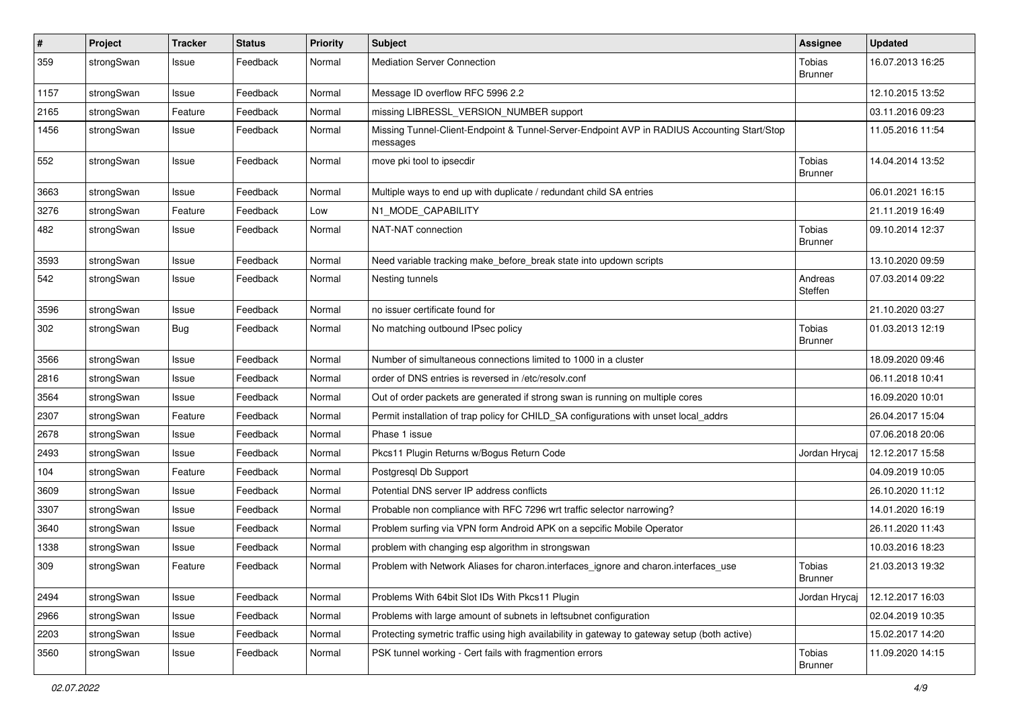| $\sharp$ | Project    | <b>Tracker</b> | <b>Status</b> | <b>Priority</b> | <b>Subject</b>                                                                                          | <b>Assignee</b>                 | <b>Updated</b>   |
|----------|------------|----------------|---------------|-----------------|---------------------------------------------------------------------------------------------------------|---------------------------------|------------------|
| 359      | strongSwan | Issue          | Feedback      | Normal          | <b>Mediation Server Connection</b>                                                                      | Tobias<br><b>Brunner</b>        | 16.07.2013 16:25 |
| 1157     | strongSwan | Issue          | Feedback      | Normal          | Message ID overflow RFC 5996 2.2                                                                        |                                 | 12.10.2015 13:52 |
| 2165     | strongSwan | Feature        | Feedback      | Normal          | missing LIBRESSL_VERSION_NUMBER support                                                                 |                                 | 03.11.2016 09:23 |
| 1456     | strongSwan | Issue          | Feedback      | Normal          | Missing Tunnel-Client-Endpoint & Tunnel-Server-Endpoint AVP in RADIUS Accounting Start/Stop<br>messages |                                 | 11.05.2016 11:54 |
| 552      | strongSwan | Issue          | Feedback      | Normal          | move pki tool to ipsecdir                                                                               | Tobias<br>Brunner               | 14.04.2014 13:52 |
| 3663     | strongSwan | Issue          | Feedback      | Normal          | Multiple ways to end up with duplicate / redundant child SA entries                                     |                                 | 06.01.2021 16:15 |
| 3276     | strongSwan | Feature        | Feedback      | Low             | N1_MODE_CAPABILITY                                                                                      |                                 | 21.11.2019 16:49 |
| 482      | strongSwan | Issue          | Feedback      | Normal          | NAT-NAT connection                                                                                      | Tobias<br><b>Brunner</b>        | 09.10.2014 12:37 |
| 3593     | strongSwan | Issue          | Feedback      | Normal          | Need variable tracking make_before_break state into updown scripts                                      |                                 | 13.10.2020 09:59 |
| 542      | strongSwan | Issue          | Feedback      | Normal          | Nesting tunnels                                                                                         | Andreas<br>Steffen              | 07.03.2014 09:22 |
| 3596     | strongSwan | Issue          | Feedback      | Normal          | no issuer certificate found for                                                                         |                                 | 21.10.2020 03:27 |
| 302      | strongSwan | Bug            | Feedback      | Normal          | No matching outbound IPsec policy                                                                       | Tobias<br><b>Brunner</b>        | 01.03.2013 12:19 |
| 3566     | strongSwan | Issue          | Feedback      | Normal          | Number of simultaneous connections limited to 1000 in a cluster                                         |                                 | 18.09.2020 09:46 |
| 2816     | strongSwan | Issue          | Feedback      | Normal          | order of DNS entries is reversed in /etc/resolv.conf                                                    |                                 | 06.11.2018 10:41 |
| 3564     | strongSwan | Issue          | Feedback      | Normal          | Out of order packets are generated if strong swan is running on multiple cores                          |                                 | 16.09.2020 10:01 |
| 2307     | strongSwan | Feature        | Feedback      | Normal          | Permit installation of trap policy for CHILD_SA configurations with unset local_addrs                   |                                 | 26.04.2017 15:04 |
| 2678     | strongSwan | Issue          | Feedback      | Normal          | Phase 1 issue                                                                                           |                                 | 07.06.2018 20:06 |
| 2493     | strongSwan | Issue          | Feedback      | Normal          | Pkcs11 Plugin Returns w/Bogus Return Code                                                               | Jordan Hrycaj                   | 12.12.2017 15:58 |
| 104      | strongSwan | Feature        | Feedback      | Normal          | Postgresql Db Support                                                                                   |                                 | 04.09.2019 10:05 |
| 3609     | strongSwan | Issue          | Feedback      | Normal          | Potential DNS server IP address conflicts                                                               |                                 | 26.10.2020 11:12 |
| 3307     | strongSwan | Issue          | Feedback      | Normal          | Probable non compliance with RFC 7296 wrt traffic selector narrowing?                                   |                                 | 14.01.2020 16:19 |
| 3640     | strongSwan | Issue          | Feedback      | Normal          | Problem surfing via VPN form Android APK on a sepcific Mobile Operator                                  |                                 | 26.11.2020 11:43 |
| 1338     | strongSwan | Issue          | Feedback      | Normal          | problem with changing esp algorithm in strongswan                                                       |                                 | 10.03.2016 18:23 |
| 309      | strongSwan | Feature        | Feedback      | Normal          | Problem with Network Aliases for charon interfaces ignore and charon interfaces use                     | Tobias<br>Brunner               | 21.03.2013 19:32 |
| 2494     | strongSwan | Issue          | Feedback      | Normal          | Problems With 64bit Slot IDs With Pkcs11 Plugin                                                         | Jordan Hrycaj                   | 12.12.2017 16:03 |
| 2966     | strongSwan | Issue          | Feedback      | Normal          | Problems with large amount of subnets in leftsubnet configuration                                       |                                 | 02.04.2019 10:35 |
| 2203     | strongSwan | Issue          | Feedback      | Normal          | Protecting symetric traffic using high availability in gateway to gateway setup (both active)           |                                 | 15.02.2017 14:20 |
| 3560     | strongSwan | Issue          | Feedback      | Normal          | PSK tunnel working - Cert fails with fragmention errors                                                 | <b>Tobias</b><br><b>Brunner</b> | 11.09.2020 14:15 |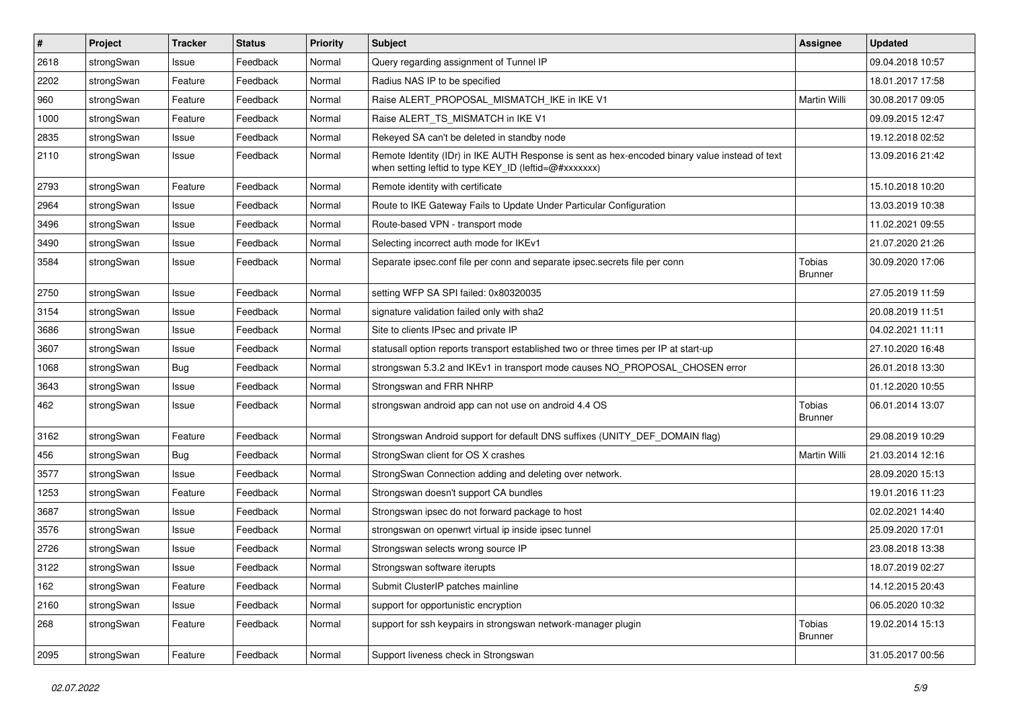| $\sharp$ | Project    | <b>Tracker</b> | <b>Status</b> | <b>Priority</b> | <b>Subject</b>                                                                                                                                          | <b>Assignee</b>                 | <b>Updated</b>   |
|----------|------------|----------------|---------------|-----------------|---------------------------------------------------------------------------------------------------------------------------------------------------------|---------------------------------|------------------|
| 2618     | strongSwan | Issue          | Feedback      | Normal          | Query regarding assignment of Tunnel IP                                                                                                                 |                                 | 09.04.2018 10:57 |
| 2202     | strongSwan | Feature        | Feedback      | Normal          | Radius NAS IP to be specified                                                                                                                           |                                 | 18.01.2017 17:58 |
| 960      | strongSwan | Feature        | Feedback      | Normal          | Raise ALERT PROPOSAL MISMATCH IKE in IKE V1                                                                                                             | Martin Willi                    | 30.08.2017 09:05 |
| 1000     | strongSwan | Feature        | Feedback      | Normal          | Raise ALERT TS MISMATCH in IKE V1                                                                                                                       |                                 | 09.09.2015 12:47 |
| 2835     | strongSwan | Issue          | Feedback      | Normal          | Rekeyed SA can't be deleted in standby node                                                                                                             |                                 | 19.12.2018 02:52 |
| 2110     | strongSwan | Issue          | Feedback      | Normal          | Remote Identity (IDr) in IKE AUTH Response is sent as hex-encoded binary value instead of text<br>when setting leftid to type KEY_ID (leftid=@#xxxxxxx) |                                 | 13.09.2016 21:42 |
| 2793     | strongSwan | Feature        | Feedback      | Normal          | Remote identity with certificate                                                                                                                        |                                 | 15.10.2018 10:20 |
| 2964     | strongSwan | Issue          | Feedback      | Normal          | Route to IKE Gateway Fails to Update Under Particular Configuration                                                                                     |                                 | 13.03.2019 10:38 |
| 3496     | strongSwan | Issue          | Feedback      | Normal          | Route-based VPN - transport mode                                                                                                                        |                                 | 11.02.2021 09:55 |
| 3490     | strongSwan | Issue          | Feedback      | Normal          | Selecting incorrect auth mode for IKEv1                                                                                                                 |                                 | 21.07.2020 21:26 |
| 3584     | strongSwan | Issue          | Feedback      | Normal          | Separate ipsec.conf file per conn and separate ipsec.secrets file per conn                                                                              | Tobias<br><b>Brunner</b>        | 30.09.2020 17:06 |
| 2750     | strongSwan | Issue          | Feedback      | Normal          | setting WFP SA SPI failed: 0x80320035                                                                                                                   |                                 | 27.05.2019 11:59 |
| 3154     | strongSwan | Issue          | Feedback      | Normal          | signature validation failed only with sha2                                                                                                              |                                 | 20.08.2019 11:51 |
| 3686     | strongSwan | Issue          | Feedback      | Normal          | Site to clients IPsec and private IP                                                                                                                    |                                 | 04.02.2021 11:11 |
| 3607     | strongSwan | Issue          | Feedback      | Normal          | statusall option reports transport established two or three times per IP at start-up                                                                    |                                 | 27.10.2020 16:48 |
| 1068     | strongSwan | <b>Bug</b>     | Feedback      | Normal          | strongswan 5.3.2 and IKEv1 in transport mode causes NO_PROPOSAL_CHOSEN error                                                                            |                                 | 26.01.2018 13:30 |
| 3643     | strongSwan | Issue          | Feedback      | Normal          | Strongswan and FRR NHRP                                                                                                                                 |                                 | 01.12.2020 10:55 |
| 462      | strongSwan | Issue          | Feedback      | Normal          | strongswan android app can not use on android 4.4 OS                                                                                                    | Tobias<br><b>Brunner</b>        | 06.01.2014 13:07 |
| 3162     | strongSwan | Feature        | Feedback      | Normal          | Strongswan Android support for default DNS suffixes (UNITY_DEF_DOMAIN flag)                                                                             |                                 | 29.08.2019 10:29 |
| 456      | strongSwan | Bug            | Feedback      | Normal          | StrongSwan client for OS X crashes                                                                                                                      | Martin Willi                    | 21.03.2014 12:16 |
| 3577     | strongSwan | Issue          | Feedback      | Normal          | StrongSwan Connection adding and deleting over network.                                                                                                 |                                 | 28.09.2020 15:13 |
| 1253     | strongSwan | Feature        | Feedback      | Normal          | Strongswan doesn't support CA bundles                                                                                                                   |                                 | 19.01.2016 11:23 |
| 3687     | strongSwan | Issue          | Feedback      | Normal          | Strongswan ipsec do not forward package to host                                                                                                         |                                 | 02.02.2021 14:40 |
| 3576     | strongSwan | Issue          | Feedback      | Normal          | strongswan on openwrt virtual ip inside ipsec tunnel                                                                                                    |                                 | 25.09.2020 17:01 |
| 2726     | strongSwan | Issue          | Feedback      | Normal          | Strongswan selects wrong source IP                                                                                                                      |                                 | 23.08.2018 13:38 |
| 3122     | strongSwan | Issue          | Feedback      | Normal          | Strongswan software iterupts                                                                                                                            |                                 | 18.07.2019 02:27 |
| 162      | strongSwan | Feature        | Feedback      | Normal          | Submit ClusterIP patches mainline                                                                                                                       |                                 | 14.12.2015 20:43 |
| 2160     | strongSwan | Issue          | Feedback      | Normal          | support for opportunistic encryption                                                                                                                    |                                 | 06.05.2020 10:32 |
| 268      | strongSwan | Feature        | Feedback      | Normal          | support for ssh keypairs in strongswan network-manager plugin                                                                                           | <b>Tobias</b><br><b>Brunner</b> | 19.02.2014 15:13 |
| 2095     | strongSwan | Feature        | Feedback      | Normal          | Support liveness check in Strongswan                                                                                                                    |                                 | 31.05.2017 00:56 |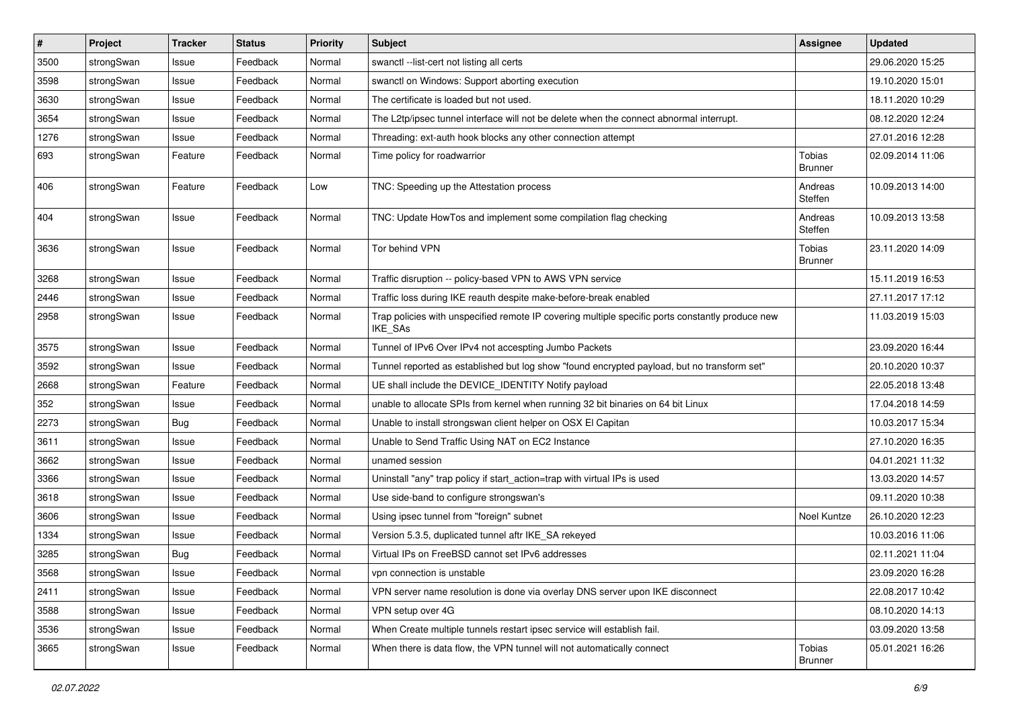| $\sharp$ | Project    | <b>Tracker</b> | <b>Status</b> | <b>Priority</b> | <b>Subject</b>                                                                                                     | <b>Assignee</b>                 | <b>Updated</b>   |
|----------|------------|----------------|---------------|-----------------|--------------------------------------------------------------------------------------------------------------------|---------------------------------|------------------|
| 3500     | strongSwan | Issue          | Feedback      | Normal          | swanctl --list-cert not listing all certs                                                                          |                                 | 29.06.2020 15:25 |
| 3598     | strongSwan | Issue          | Feedback      | Normal          | swanctl on Windows: Support aborting execution                                                                     |                                 | 19.10.2020 15:01 |
| 3630     | strongSwan | Issue          | Feedback      | Normal          | The certificate is loaded but not used.                                                                            |                                 | 18.11.2020 10:29 |
| 3654     | strongSwan | Issue          | Feedback      | Normal          | The L2tp/ipsec tunnel interface will not be delete when the connect abnormal interrupt.                            |                                 | 08.12.2020 12:24 |
| 1276     | strongSwan | Issue          | Feedback      | Normal          | Threading: ext-auth hook blocks any other connection attempt                                                       |                                 | 27.01.2016 12:28 |
| 693      | strongSwan | Feature        | Feedback      | Normal          | Time policy for roadwarrior                                                                                        | Tobias<br>Brunner               | 02.09.2014 11:06 |
| 406      | strongSwan | Feature        | Feedback      | Low             | TNC: Speeding up the Attestation process                                                                           | Andreas<br>Steffen              | 10.09.2013 14:00 |
| 404      | strongSwan | Issue          | Feedback      | Normal          | TNC: Update HowTos and implement some compilation flag checking                                                    | Andreas<br>Steffen              | 10.09.2013 13:58 |
| 3636     | strongSwan | Issue          | Feedback      | Normal          | Tor behind VPN                                                                                                     | Tobias<br><b>Brunner</b>        | 23.11.2020 14:09 |
| 3268     | strongSwan | Issue          | Feedback      | Normal          | Traffic disruption -- policy-based VPN to AWS VPN service                                                          |                                 | 15.11.2019 16:53 |
| 2446     | strongSwan | Issue          | Feedback      | Normal          | Traffic loss during IKE reauth despite make-before-break enabled                                                   |                                 | 27.11.2017 17:12 |
| 2958     | strongSwan | Issue          | Feedback      | Normal          | Trap policies with unspecified remote IP covering multiple specific ports constantly produce new<br><b>IKE SAs</b> |                                 | 11.03.2019 15:03 |
| 3575     | strongSwan | Issue          | Feedback      | Normal          | Tunnel of IPv6 Over IPv4 not accespting Jumbo Packets                                                              |                                 | 23.09.2020 16:44 |
| 3592     | strongSwan | Issue          | Feedback      | Normal          | Tunnel reported as established but log show "found encrypted payload, but no transform set"                        |                                 | 20.10.2020 10:37 |
| 2668     | strongSwan | Feature        | Feedback      | Normal          | UE shall include the DEVICE_IDENTITY Notify payload                                                                |                                 | 22.05.2018 13:48 |
| 352      | strongSwan | Issue          | Feedback      | Normal          | unable to allocate SPIs from kernel when running 32 bit binaries on 64 bit Linux                                   |                                 | 17.04.2018 14:59 |
| 2273     | strongSwan | <b>Bug</b>     | Feedback      | Normal          | Unable to install strongswan client helper on OSX El Capitan                                                       |                                 | 10.03.2017 15:34 |
| 3611     | strongSwan | Issue          | Feedback      | Normal          | Unable to Send Traffic Using NAT on EC2 Instance                                                                   |                                 | 27.10.2020 16:35 |
| 3662     | strongSwan | Issue          | Feedback      | Normal          | unamed session                                                                                                     |                                 | 04.01.2021 11:32 |
| 3366     | strongSwan | Issue          | Feedback      | Normal          | Uninstall "any" trap policy if start_action=trap with virtual IPs is used                                          |                                 | 13.03.2020 14:57 |
| 3618     | strongSwan | Issue          | Feedback      | Normal          | Use side-band to configure strongswan's                                                                            |                                 | 09.11.2020 10:38 |
| 3606     | strongSwan | Issue          | Feedback      | Normal          | Using ipsec tunnel from "foreign" subnet                                                                           | Noel Kuntze                     | 26.10.2020 12:23 |
| 1334     | strongSwan | Issue          | Feedback      | Normal          | Version 5.3.5, duplicated tunnel aftr IKE_SA rekeyed                                                               |                                 | 10.03.2016 11:06 |
| 3285     | strongSwan | <b>Bug</b>     | Feedback      | Normal          | Virtual IPs on FreeBSD cannot set IPv6 addresses                                                                   |                                 | 02.11.2021 11:04 |
| 3568     | strongSwan | Issue          | Feedback      | Normal          | vpn connection is unstable                                                                                         |                                 | 23.09.2020 16:28 |
| 2411     | strongSwan | Issue          | Feedback      | Normal          | VPN server name resolution is done via overlay DNS server upon IKE disconnect                                      |                                 | 22.08.2017 10:42 |
| 3588     | strongSwan | Issue          | Feedback      | Normal          | VPN setup over 4G                                                                                                  |                                 | 08.10.2020 14:13 |
| 3536     | strongSwan | Issue          | Feedback      | Normal          | When Create multiple tunnels restart ipsec service will establish fail.                                            |                                 | 03.09.2020 13:58 |
| 3665     | strongSwan | Issue          | Feedback      | Normal          | When there is data flow, the VPN tunnel will not automatically connect                                             | <b>Tobias</b><br><b>Brunner</b> | 05.01.2021 16:26 |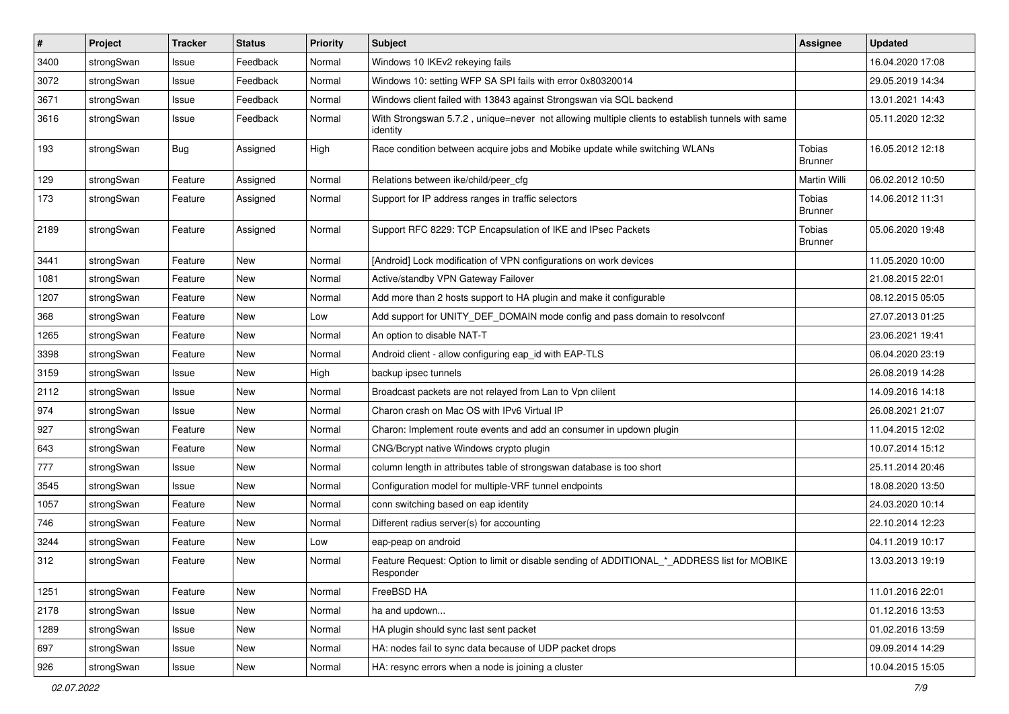| $\vert$ # | Project    | <b>Tracker</b> | <b>Status</b> | <b>Priority</b> | Subject                                                                                                      | <b>Assignee</b>                 | <b>Updated</b>   |
|-----------|------------|----------------|---------------|-----------------|--------------------------------------------------------------------------------------------------------------|---------------------------------|------------------|
| 3400      | strongSwan | Issue          | Feedback      | Normal          | Windows 10 IKEv2 rekeying fails                                                                              |                                 | 16.04.2020 17:08 |
| 3072      | strongSwan | Issue          | Feedback      | Normal          | Windows 10: setting WFP SA SPI fails with error 0x80320014                                                   |                                 | 29.05.2019 14:34 |
| 3671      | strongSwan | Issue          | Feedback      | Normal          | Windows client failed with 13843 against Strongswan via SQL backend                                          |                                 | 13.01.2021 14:43 |
| 3616      | strongSwan | Issue          | Feedback      | Normal          | With Strongswan 5.7.2, unique=never not allowing multiple clients to establish tunnels with same<br>identity |                                 | 05.11.2020 12:32 |
| 193       | strongSwan | Bug            | Assigned      | High            | Race condition between acquire jobs and Mobike update while switching WLANs                                  | <b>Tobias</b><br><b>Brunner</b> | 16.05.2012 12:18 |
| 129       | strongSwan | Feature        | Assigned      | Normal          | Relations between ike/child/peer_cfg                                                                         | Martin Willi                    | 06.02.2012 10:50 |
| 173       | strongSwan | Feature        | Assigned      | Normal          | Support for IP address ranges in traffic selectors                                                           | Tobias<br><b>Brunner</b>        | 14.06.2012 11:31 |
| 2189      | strongSwan | Feature        | Assigned      | Normal          | Support RFC 8229: TCP Encapsulation of IKE and IPsec Packets                                                 | Tobias<br><b>Brunner</b>        | 05.06.2020 19:48 |
| 3441      | strongSwan | Feature        | New           | Normal          | [Android] Lock modification of VPN configurations on work devices                                            |                                 | 11.05.2020 10:00 |
| 1081      | strongSwan | Feature        | <b>New</b>    | Normal          | Active/standby VPN Gateway Failover                                                                          |                                 | 21.08.2015 22:01 |
| 1207      | strongSwan | Feature        | New           | Normal          | Add more than 2 hosts support to HA plugin and make it configurable                                          |                                 | 08.12.2015 05:05 |
| 368       | strongSwan | Feature        | New           | Low             | Add support for UNITY_DEF_DOMAIN mode config and pass domain to resolvconf                                   |                                 | 27.07.2013 01:25 |
| 1265      | strongSwan | Feature        | <b>New</b>    | Normal          | An option to disable NAT-T                                                                                   |                                 | 23.06.2021 19:41 |
| 3398      | strongSwan | Feature        | New           | Normal          | Android client - allow configuring eap_id with EAP-TLS                                                       |                                 | 06.04.2020 23:19 |
| 3159      | strongSwan | Issue          | New           | High            | backup ipsec tunnels                                                                                         |                                 | 26.08.2019 14:28 |
| 2112      | strongSwan | Issue          | New           | Normal          | Broadcast packets are not relayed from Lan to Vpn clilent                                                    |                                 | 14.09.2016 14:18 |
| 974       | strongSwan | Issue          | <b>New</b>    | Normal          | Charon crash on Mac OS with IPv6 Virtual IP                                                                  |                                 | 26.08.2021 21:07 |
| 927       | strongSwan | Feature        | New           | Normal          | Charon: Implement route events and add an consumer in updown plugin                                          |                                 | 11.04.2015 12:02 |
| 643       | strongSwan | Feature        | New           | Normal          | CNG/Bcrypt native Windows crypto plugin                                                                      |                                 | 10.07.2014 15:12 |
| 777       | strongSwan | Issue          | New           | Normal          | column length in attributes table of strongswan database is too short                                        |                                 | 25.11.2014 20:46 |
| 3545      | strongSwan | Issue          | New           | Normal          | Configuration model for multiple-VRF tunnel endpoints                                                        |                                 | 18.08.2020 13:50 |
| 1057      | strongSwan | Feature        | New           | Normal          | conn switching based on eap identity                                                                         |                                 | 24.03.2020 10:14 |
| 746       | strongSwan | Feature        | New           | Normal          | Different radius server(s) for accounting                                                                    |                                 | 22.10.2014 12:23 |
| 3244      | strongSwan | Feature        | <b>New</b>    | Low             | eap-peap on android                                                                                          |                                 | 04.11.2019 10:17 |
| 312       | strongSwan | Feature        | New           | Normal          | Feature Request: Option to limit or disable sending of ADDITIONAL_*_ADDRESS list for MOBIKE<br>Responder     |                                 | 13.03.2013 19:19 |
| 1251      | strongSwan | Feature        | <b>New</b>    | Normal          | FreeBSD HA                                                                                                   |                                 | 11.01.2016 22:01 |
| 2178      | strongSwan | Issue          | New           | Normal          | ha and updown                                                                                                |                                 | 01.12.2016 13:53 |
| 1289      | strongSwan | Issue          | New           | Normal          | HA plugin should sync last sent packet                                                                       |                                 | 01.02.2016 13:59 |
| 697       | strongSwan | Issue          | New           | Normal          | HA: nodes fail to sync data because of UDP packet drops                                                      |                                 | 09.09.2014 14:29 |
| 926       | strongSwan | Issue          | New           | Normal          | HA: resync errors when a node is joining a cluster                                                           |                                 | 10.04.2015 15:05 |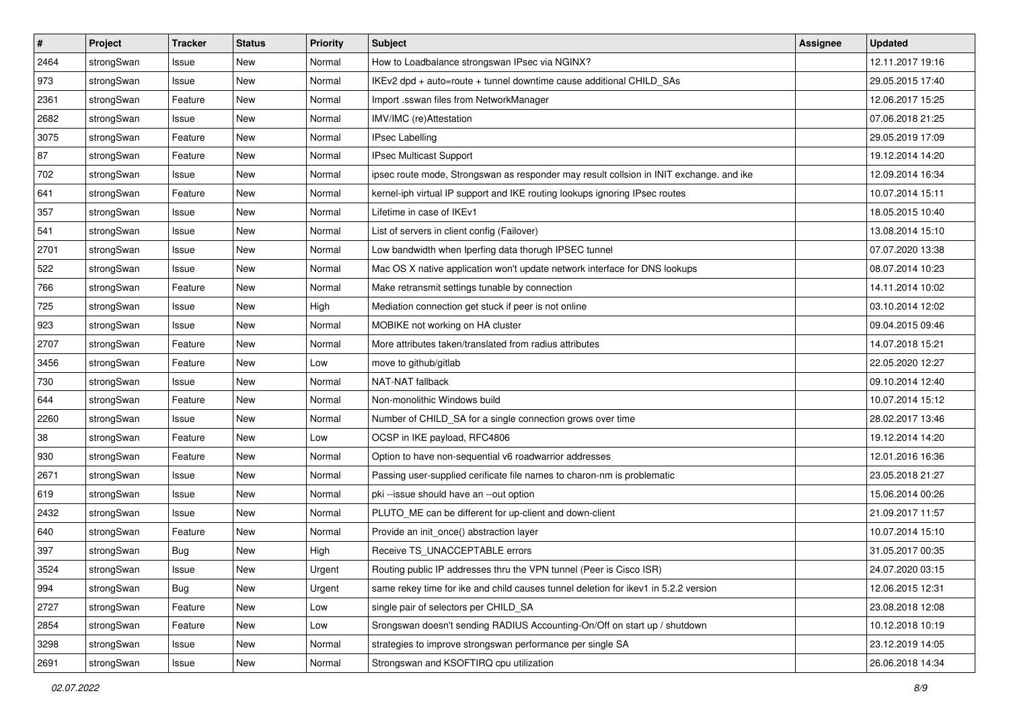| $\pmb{\#}$ | Project    | <b>Tracker</b> | <b>Status</b> | <b>Priority</b> | <b>Subject</b>                                                                          | <b>Assignee</b> | <b>Updated</b>   |
|------------|------------|----------------|---------------|-----------------|-----------------------------------------------------------------------------------------|-----------------|------------------|
| 2464       | strongSwan | Issue          | New           | Normal          | How to Loadbalance strongswan IPsec via NGINX?                                          |                 | 12.11.2017 19:16 |
| 973        | strongSwan | Issue          | New           | Normal          | IKEv2 dpd + auto=route + tunnel downtime cause additional CHILD_SAs                     |                 | 29.05.2015 17:40 |
| 2361       | strongSwan | Feature        | <b>New</b>    | Normal          | Import .sswan files from NetworkManager                                                 |                 | 12.06.2017 15:25 |
| 2682       | strongSwan | Issue          | New           | Normal          | IMV/IMC (re)Attestation                                                                 |                 | 07.06.2018 21:25 |
| 3075       | strongSwan | Feature        | New           | Normal          | IPsec Labelling                                                                         |                 | 29.05.2019 17:09 |
| 87         | strongSwan | Feature        | New           | Normal          | IPsec Multicast Support                                                                 |                 | 19.12.2014 14:20 |
| 702        | strongSwan | Issue          | <b>New</b>    | Normal          | ipsec route mode, Strongswan as responder may result collsion in INIT exchange. and ike |                 | 12.09.2014 16:34 |
| 641        | strongSwan | Feature        | New           | Normal          | kernel-iph virtual IP support and IKE routing lookups ignoring IPsec routes             |                 | 10.07.2014 15:11 |
| 357        | strongSwan | Issue          | New           | Normal          | Lifetime in case of IKEv1                                                               |                 | 18.05.2015 10:40 |
| 541        | strongSwan | Issue          | New           | Normal          | List of servers in client config (Failover)                                             |                 | 13.08.2014 15:10 |
| 2701       | strongSwan | Issue          | New           | Normal          | Low bandwidth when Iperfing data thorugh IPSEC tunnel                                   |                 | 07.07.2020 13:38 |
| 522        | strongSwan | Issue          | New           | Normal          | Mac OS X native application won't update network interface for DNS lookups              |                 | 08.07.2014 10:23 |
| 766        | strongSwan | Feature        | New           | Normal          | Make retransmit settings tunable by connection                                          |                 | 14.11.2014 10:02 |
| 725        | strongSwan | Issue          | New           | High            | Mediation connection get stuck if peer is not online                                    |                 | 03.10.2014 12:02 |
| 923        | strongSwan | Issue          | New           | Normal          | MOBIKE not working on HA cluster                                                        |                 | 09.04.2015 09:46 |
| 2707       | strongSwan | Feature        | New           | Normal          | More attributes taken/translated from radius attributes                                 |                 | 14.07.2018 15:21 |
| 3456       | strongSwan | Feature        | New           | Low             | move to github/gitlab                                                                   |                 | 22.05.2020 12:27 |
| 730        | strongSwan | Issue          | New           | Normal          | NAT-NAT fallback                                                                        |                 | 09.10.2014 12:40 |
| 644        | strongSwan | Feature        | New           | Normal          | Non-monolithic Windows build                                                            |                 | 10.07.2014 15:12 |
| 2260       | strongSwan | Issue          | New           | Normal          | Number of CHILD_SA for a single connection grows over time                              |                 | 28.02.2017 13:46 |
| 38         | strongSwan | Feature        | New           | Low             | OCSP in IKE payload, RFC4806                                                            |                 | 19.12.2014 14:20 |
| 930        | strongSwan | Feature        | New           | Normal          | Option to have non-sequential v6 roadwarrior addresses                                  |                 | 12.01.2016 16:36 |
| 2671       | strongSwan | Issue          | New           | Normal          | Passing user-supplied cerificate file names to charon-nm is problematic                 |                 | 23.05.2018 21:27 |
| 619        | strongSwan | Issue          | New           | Normal          | pki --issue should have an --out option                                                 |                 | 15.06.2014 00:26 |
| 2432       | strongSwan | Issue          | New           | Normal          | PLUTO_ME can be different for up-client and down-client                                 |                 | 21.09.2017 11:57 |
| 640        | strongSwan | Feature        | New           | Normal          | Provide an init_once() abstraction layer                                                |                 | 10.07.2014 15:10 |
| 397        | strongSwan | <b>Bug</b>     | New           | High            | Receive TS_UNACCEPTABLE errors                                                          |                 | 31.05.2017 00:35 |
| 3524       | strongSwan | Issue          | New           | Urgent          | Routing public IP addresses thru the VPN tunnel (Peer is Cisco ISR)                     |                 | 24.07.2020 03:15 |
| 994        | strongSwan | Bug            | New           | Urgent          | same rekey time for ike and child causes tunnel deletion for ikey1 in 5.2.2 version     |                 | 12.06.2015 12:31 |
| 2727       | strongSwan | Feature        | New           | Low             | single pair of selectors per CHILD_SA                                                   |                 | 23.08.2018 12:08 |
| 2854       | strongSwan | Feature        | New           | Low             | Srongswan doesn't sending RADIUS Accounting-On/Off on start up / shutdown               |                 | 10.12.2018 10:19 |
| 3298       | strongSwan | Issue          | New           | Normal          | strategies to improve strongswan performance per single SA                              |                 | 23.12.2019 14:05 |
| 2691       | strongSwan | Issue          | New           | Normal          | Strongswan and KSOFTIRQ cpu utilization                                                 |                 | 26.06.2018 14:34 |